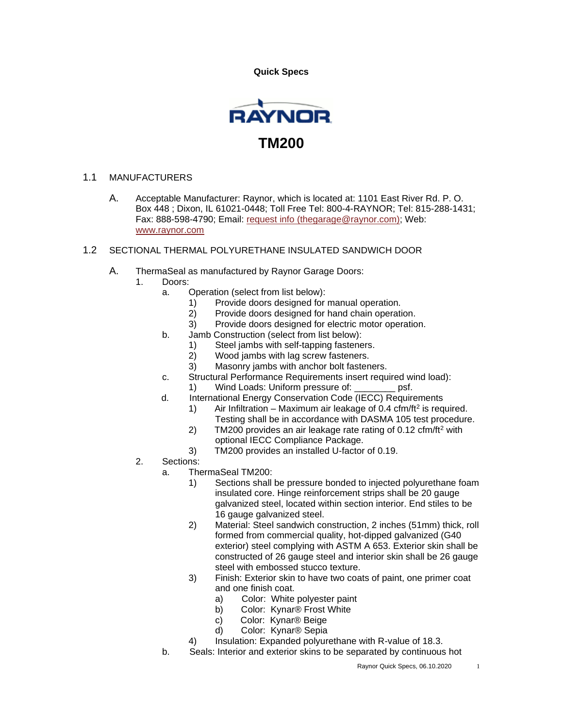**Quick Specs** 



## 1.1 MANUFACTURERS

- A. Acceptable Manufacturer: Raynor, which is located at: 1101 East River Rd. P. O. Box 448 ; Dixon, IL 61021-0448; Toll Free Tel: 800-4-RAYNOR; Tel: 815-288-1431; Fax: 888-598-4790; Email: [request info \(thegarage@raynor.com\);](http://admin.arcat.com/users.pl?action=UserEmail&company=Raynor&coid=35092&rep=&fax=888-598-4790&message=RE:%20Spec%20Question%20(08360rgd):%20%20&mf=) Web: [www.raynor.com](http://www.raynor.com/)
- 1.2 SECTIONAL THERMAL POLYURETHANE INSULATED SANDWICH DOOR
	- A. ThermaSeal as manufactured by Raynor Garage Doors:
		- 1. Doors:
			- a. Operation (select from list below):
				- 1) Provide doors designed for manual operation.
				- 2) Provide doors designed for hand chain operation.
				- 3) Provide doors designed for electric motor operation.
			- b. Jamb Construction (select from list below):
				- 1) Steel jambs with self-tapping fasteners.
				- 2) Wood jambs with lag screw fasteners.
				- 3) Masonry jambs with anchor bolt fasteners.
			- c. Structural Performance Requirements insert required wind load):
				- 1) Wind Loads: Uniform pressure of: \_\_\_\_\_\_\_\_ psf.
			- d. International Energy Conservation Code (IECC) Requirements
				- 1) Air Infiltration Maximum air leakage of 0.4 cfm/ft<sup>2</sup> is required. Testing shall be in accordance with DASMA 105 test procedure.
				- 2) TM200 provides an air leakage rate rating of 0.12 cfm/ft<sup>2</sup> with optional IECC Compliance Package.
				- 3) TM200 provides an installed U-factor of 0.19.
		- 2. Sections:
			- a. ThermaSeal TM200:
				- 1) Sections shall be pressure bonded to injected polyurethane foam insulated core. Hinge reinforcement strips shall be 20 gauge galvanized steel, located within section interior. End stiles to be 16 gauge galvanized steel.
				- 2) Material: Steel sandwich construction, 2 inches (51mm) thick, roll formed from commercial quality, hot-dipped galvanized (G40 exterior) steel complying with ASTM A 653. Exterior skin shall be constructed of 26 gauge steel and interior skin shall be 26 gauge steel with embossed stucco texture.
				- 3) Finish: Exterior skin to have two coats of paint, one primer coat and one finish coat.
					- a) Color: White polyester paint
					- b) Color: Kynar® Frost White
					- c) Color: Kynar® Beige
					- d) Color: Kynar® Sepia
				- 4) Insulation: Expanded polyurethane with R-value of 18.3.
			- b. Seals: Interior and exterior skins to be separated by continuous hot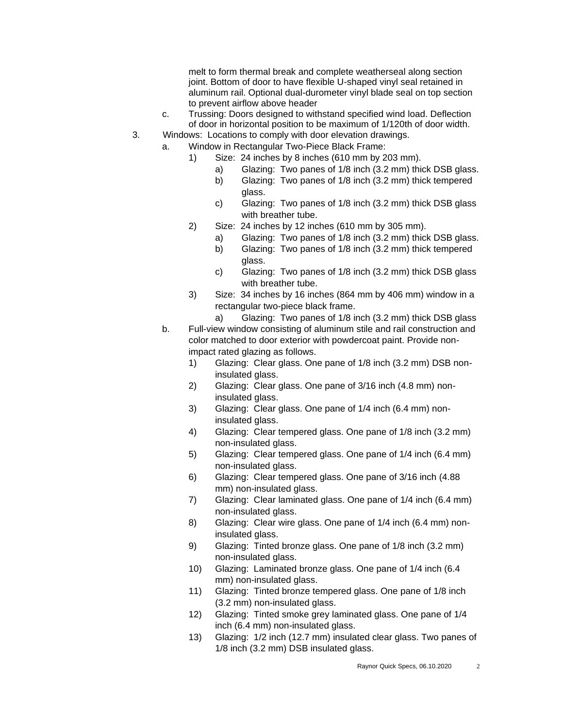melt to form thermal break and complete weatherseal along section joint. Bottom of door to have flexible U-shaped vinyl seal retained in aluminum rail. Optional dual-durometer vinyl blade seal on top section to prevent airflow above header

- c. Trussing: Doors designed to withstand specified wind load. Deflection of door in horizontal position to be maximum of 1/120th of door width.
- 3. Windows: Locations to comply with door elevation drawings.
	- a. Window in Rectangular Two-Piece Black Frame:
		- 1) Size: 24 inches by 8 inches (610 mm by 203 mm).
			- a) Glazing: Two panes of 1/8 inch (3.2 mm) thick DSB glass.
			- b) Glazing: Two panes of 1/8 inch (3.2 mm) thick tempered glass.
			- c) Glazing: Two panes of 1/8 inch (3.2 mm) thick DSB glass with breather tube.
		- 2) Size: 24 inches by 12 inches (610 mm by 305 mm).
			- a) Glazing: Two panes of 1/8 inch (3.2 mm) thick DSB glass.
			- b) Glazing: Two panes of 1/8 inch (3.2 mm) thick tempered glass.
			- c) Glazing: Two panes of 1/8 inch (3.2 mm) thick DSB glass with breather tube.
		- 3) Size: 34 inches by 16 inches (864 mm by 406 mm) window in a rectangular two-piece black frame.
		- a) Glazing: Two panes of 1/8 inch (3.2 mm) thick DSB glass b. Full-view window consisting of aluminum stile and rail construction and color matched to door exterior with powdercoat paint. Provide nonimpact rated glazing as follows.
			- 1) Glazing: Clear glass. One pane of 1/8 inch (3.2 mm) DSB noninsulated glass.
			- 2) Glazing: Clear glass. One pane of 3/16 inch (4.8 mm) noninsulated glass.
			- 3) Glazing: Clear glass. One pane of 1/4 inch (6.4 mm) noninsulated glass.
			- 4) Glazing: Clear tempered glass. One pane of 1/8 inch (3.2 mm) non-insulated glass.
			- 5) Glazing: Clear tempered glass. One pane of 1/4 inch (6.4 mm) non-insulated glass.
			- 6) Glazing: Clear tempered glass. One pane of 3/16 inch (4.88 mm) non-insulated glass.
			- 7) Glazing: Clear laminated glass. One pane of 1/4 inch (6.4 mm) non-insulated glass.
			- 8) Glazing: Clear wire glass. One pane of 1/4 inch (6.4 mm) noninsulated glass.
			- 9) Glazing: Tinted bronze glass. One pane of 1/8 inch (3.2 mm) non-insulated glass.
			- 10) Glazing: Laminated bronze glass. One pane of 1/4 inch (6.4 mm) non-insulated glass.
			- 11) Glazing: Tinted bronze tempered glass. One pane of 1/8 inch (3.2 mm) non-insulated glass.
			- 12) Glazing: Tinted smoke grey laminated glass. One pane of 1/4 inch (6.4 mm) non-insulated glass.
			- 13) Glazing: 1/2 inch (12.7 mm) insulated clear glass. Two panes of 1/8 inch (3.2 mm) DSB insulated glass.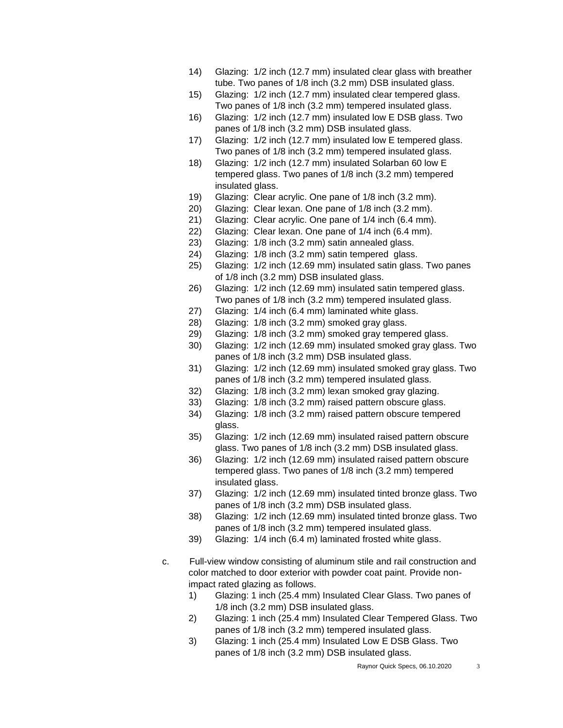- 14) Glazing: 1/2 inch (12.7 mm) insulated clear glass with breather tube. Two panes of 1/8 inch (3.2 mm) DSB insulated glass.
- 15) Glazing: 1/2 inch (12.7 mm) insulated clear tempered glass. Two panes of 1/8 inch (3.2 mm) tempered insulated glass.
- 16) Glazing: 1/2 inch (12.7 mm) insulated low E DSB glass. Two panes of 1/8 inch (3.2 mm) DSB insulated glass.
- 17) Glazing: 1/2 inch (12.7 mm) insulated low E tempered glass. Two panes of 1/8 inch (3.2 mm) tempered insulated glass.
- 18) Glazing: 1/2 inch (12.7 mm) insulated Solarban 60 low E tempered glass. Two panes of 1/8 inch (3.2 mm) tempered insulated glass.
- 19) Glazing: Clear acrylic. One pane of 1/8 inch (3.2 mm).
- 20) Glazing: Clear lexan. One pane of 1/8 inch (3.2 mm).
- 21) Glazing: Clear acrylic. One pane of 1/4 inch (6.4 mm).
- 22) Glazing: Clear lexan. One pane of 1/4 inch (6.4 mm).
- 23) Glazing: 1/8 inch (3.2 mm) satin annealed glass.
- 24) Glazing: 1/8 inch (3.2 mm) satin tempered glass.
- 25) Glazing: 1/2 inch (12.69 mm) insulated satin glass. Two panes of 1/8 inch (3.2 mm) DSB insulated glass.
- 26) Glazing: 1/2 inch (12.69 mm) insulated satin tempered glass. Two panes of 1/8 inch (3.2 mm) tempered insulated glass.
- 27) Glazing: 1/4 inch (6.4 mm) laminated white glass.
- 28) Glazing: 1/8 inch (3.2 mm) smoked gray glass.
- 29) Glazing: 1/8 inch (3.2 mm) smoked gray tempered glass.
- 30) Glazing: 1/2 inch (12.69 mm) insulated smoked gray glass. Two panes of 1/8 inch (3.2 mm) DSB insulated glass.
- 31) Glazing: 1/2 inch (12.69 mm) insulated smoked gray glass. Two panes of 1/8 inch (3.2 mm) tempered insulated glass.
- 32) Glazing: 1/8 inch (3.2 mm) lexan smoked gray glazing.
- 33) Glazing: 1/8 inch (3.2 mm) raised pattern obscure glass.
- 34) Glazing: 1/8 inch (3.2 mm) raised pattern obscure tempered glass.
- 35) Glazing: 1/2 inch (12.69 mm) insulated raised pattern obscure glass. Two panes of 1/8 inch (3.2 mm) DSB insulated glass.
- 36) Glazing: 1/2 inch (12.69 mm) insulated raised pattern obscure tempered glass. Two panes of 1/8 inch (3.2 mm) tempered insulated glass.
- 37) Glazing: 1/2 inch (12.69 mm) insulated tinted bronze glass. Two panes of 1/8 inch (3.2 mm) DSB insulated glass.
- 38) Glazing: 1/2 inch (12.69 mm) insulated tinted bronze glass. Two panes of 1/8 inch (3.2 mm) tempered insulated glass.
- 39) Glazing: 1/4 inch (6.4 m) laminated frosted white glass.
- c. Full-view window consisting of aluminum stile and rail construction and color matched to door exterior with powder coat paint. Provide nonimpact rated glazing as follows.
	- 1) Glazing: 1 inch (25.4 mm) Insulated Clear Glass. Two panes of 1/8 inch (3.2 mm) DSB insulated glass.
	- 2) Glazing: 1 inch (25.4 mm) Insulated Clear Tempered Glass. Two panes of 1/8 inch (3.2 mm) tempered insulated glass.
	- 3) Glazing: 1 inch (25.4 mm) Insulated Low E DSB Glass. Two panes of 1/8 inch (3.2 mm) DSB insulated glass.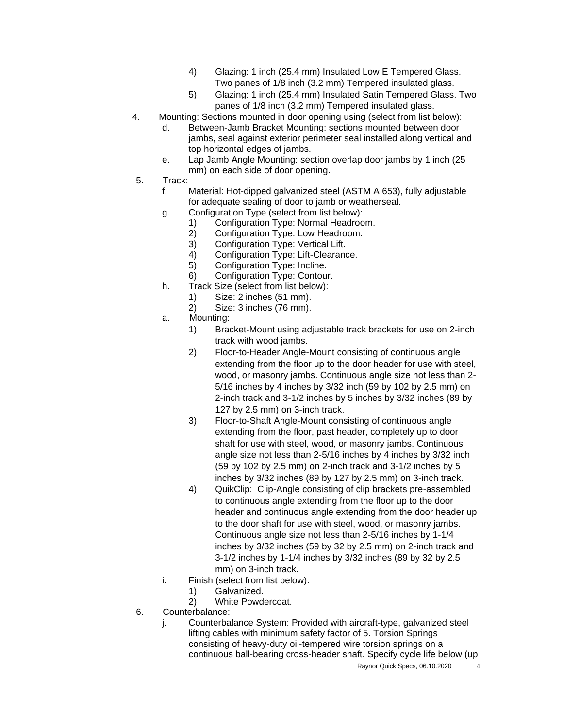- 4) Glazing: 1 inch (25.4 mm) Insulated Low E Tempered Glass. Two panes of 1/8 inch (3.2 mm) Tempered insulated glass.
- 5) Glazing: 1 inch (25.4 mm) Insulated Satin Tempered Glass. Two panes of 1/8 inch (3.2 mm) Tempered insulated glass.
- 4. Mounting: Sections mounted in door opening using (select from list below):
	- d. Between-Jamb Bracket Mounting: sections mounted between door jambs, seal against exterior perimeter seal installed along vertical and top horizontal edges of jambs.
	- e. Lap Jamb Angle Mounting: section overlap door jambs by 1 inch (25 mm) on each side of door opening.
- 5. Track:
	- f. Material: Hot-dipped galvanized steel (ASTM A 653), fully adjustable for adequate sealing of door to jamb or weatherseal.
	- g. Configuration Type (select from list below):
		- 1) Configuration Type: Normal Headroom.
		- 2) Configuration Type: Low Headroom.
		- 3) Configuration Type: Vertical Lift.
		- 4) Configuration Type: Lift-Clearance.
		- 5) Configuration Type: Incline.
		- 6) Configuration Type: Contour.
	- h. Track Size (select from list below):
		- 1) Size: 2 inches (51 mm).
		- 2) Size: 3 inches (76 mm).
	- a. Mounting:
		- 1) Bracket-Mount using adjustable track brackets for use on 2-inch track with wood jambs.
		- 2) Floor-to-Header Angle-Mount consisting of continuous angle extending from the floor up to the door header for use with steel, wood, or masonry jambs. Continuous angle size not less than 2- 5/16 inches by 4 inches by 3/32 inch (59 by 102 by 2.5 mm) on 2-inch track and 3-1/2 inches by 5 inches by 3/32 inches (89 by 127 by 2.5 mm) on 3-inch track.
		- 3) Floor-to-Shaft Angle-Mount consisting of continuous angle extending from the floor, past header, completely up to door shaft for use with steel, wood, or masonry jambs. Continuous angle size not less than 2-5/16 inches by 4 inches by 3/32 inch (59 by 102 by 2.5 mm) on 2-inch track and 3-1/2 inches by 5 inches by 3/32 inches (89 by 127 by 2.5 mm) on 3-inch track.
		- 4) QuikClip: Clip-Angle consisting of clip brackets pre-assembled to continuous angle extending from the floor up to the door header and continuous angle extending from the door header up to the door shaft for use with steel, wood, or masonry jambs. Continuous angle size not less than 2-5/16 inches by 1-1/4 inches by 3/32 inches (59 by 32 by 2.5 mm) on 2-inch track and 3-1/2 inches by 1-1/4 inches by 3/32 inches (89 by 32 by 2.5 mm) on 3-inch track.
	- i. Finish (select from list below):
		- 1) Galvanized.
		- 2) White Powdercoat.
- 6. Counterbalance:
	- j. Counterbalance System: Provided with aircraft-type, galvanized steel lifting cables with minimum safety factor of 5. Torsion Springs consisting of heavy-duty oil-tempered wire torsion springs on a continuous ball-bearing cross-header shaft. Specify cycle life below (up